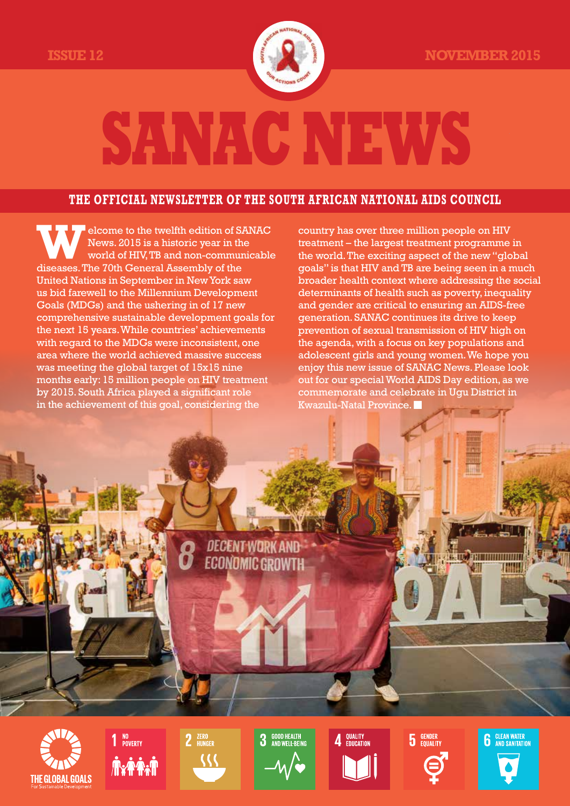

## **SANAC**

#### **the official newsletter of the south african national aids council**

**W**elcome to the twelfth edition of SANAC News. 2015 is a historic year in the world of HIV, TB and non-communicable diseases. The 70th General Assembly of the United Nations in September in New York saw us bid farewell to the Millennium Development Goals (MDGs) and the ushering in of 17 new comprehensive sustainable development goals for the next 15 years. While countries' achievements with regard to the MDGs were inconsistent, one area where the world achieved massive success was meeting the global target of 15x15 nine months early: 15 million people on HIV treatment by 2015. South Africa played a significant role in the achievement of this goal, considering the

country has over three million people on HIV treatment – the largest treatment programme in the world. The exciting aspect of the new "global goals" is that HIV and TB are being seen in a much broader health context where addressing the social determinants of health such as poverty, inequality and gender are critical to ensuring an AIDS-free generation. SANAC continues its drive to keep prevention of sexual transmission of HIV high on the agenda, with a focus on key populations and adolescent girls and young women. We hope you enjoy this new issue of SANAC News. Please look out for our special World AIDS Day edition, as we commemorate and celebrate in Ugu District in Kwazulu-Natal Province. ■

**DECENT WORK AND ECONOMIC GROWTH** 

**THE GLOBAL GOALS** 





**GOOD HEALTH**<br>AND WELL-REING

 $\boldsymbol{\Lambda}$  QUALITY

 $\overline{\mathbf{5}}$  GENDER



н област на противности

**THALL**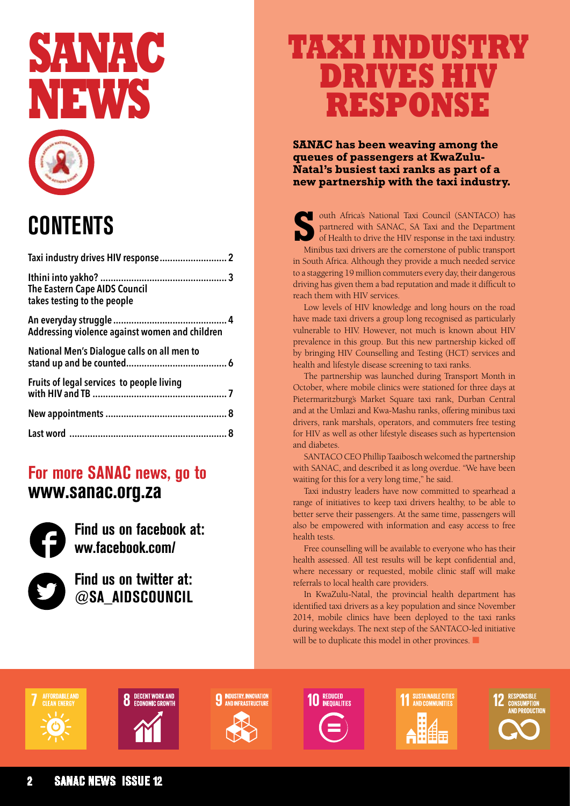

## **CONTENTS**

| <b>The Eastern Cape AIDS Council</b><br>takes testing to the people |
|---------------------------------------------------------------------|
| Addressing violence against women and children                      |
| National Men's Dialogue calls on all men to                         |
| Fruits of legal services to people living                           |
|                                                                     |
|                                                                     |
|                                                                     |

### **For more SANAC news, go to www.sanac.org.za**



**Find us on facebook at: ww.facebook.com/** 



**Find us on twitter at: @SA\_AIDSCOUNCIL**

## **Taxi industry drives HIV response**

**SANAC has been weaving among the queues of passengers at KwaZulu-Natal's busiest taxi ranks as part of a new partnership with the taxi industry.**

outh Africa's National Taxi Council (SANTACO) has partnered with SANAC, SA Taxi and the Department of Health to drive the HIV response in the taxi industry. Minibus taxi drivers are the cornerstone of public transport in South Africa. Although they provide a much needed service to a staggering 19 million commuters every day, their dangerous driving has given them a bad reputation and made it difficult to reach them with HIV services.

Low levels of HIV knowledge and long hours on the road have made taxi drivers a group long recognised as particularly vulnerable to HIV. However, not much is known about HIV prevalence in this group. But this new partnership kicked off by bringing HIV Counselling and Testing (HCT) services and health and lifestyle disease screening to taxi ranks.

The partnership was launched during Transport Month in October, where mobile clinics were stationed for three days at Pietermaritzburg's Market Square taxi rank, Durban Central and at the Umlazi and Kwa-Mashu ranks, offering minibus taxi drivers, rank marshals, operators, and commuters free testing for HIV as well as other lifestyle diseases such as hypertension and diabetes.

SANTACO CEO Phillip Taaibosch welcomed the partnership with SANAC, and described it as long overdue. "We have been waiting for this for a very long time," he said.

Taxi industry leaders have now committed to spearhead a range of initiatives to keep taxi drivers healthy, to be able to better serve their passengers. At the same time, passengers will also be empowered with information and easy access to free health tests.

Free counselling will be available to everyone who has their health assessed. All test results will be kept confidential and, where necessary or requested, mobile clinic staff will make referrals to local health care providers.

In KwaZulu-Natal, the provincial health department has identified taxi drivers as a key population and since November 2014, mobile clinics have been deployed to the taxi ranks during weekdays. The next step of the SANTACO-led initiative will be to duplicate this model in other provinces.





**9** INDUSTRY, INNOVATION





**11 SUSTAINABLE CITIES** 



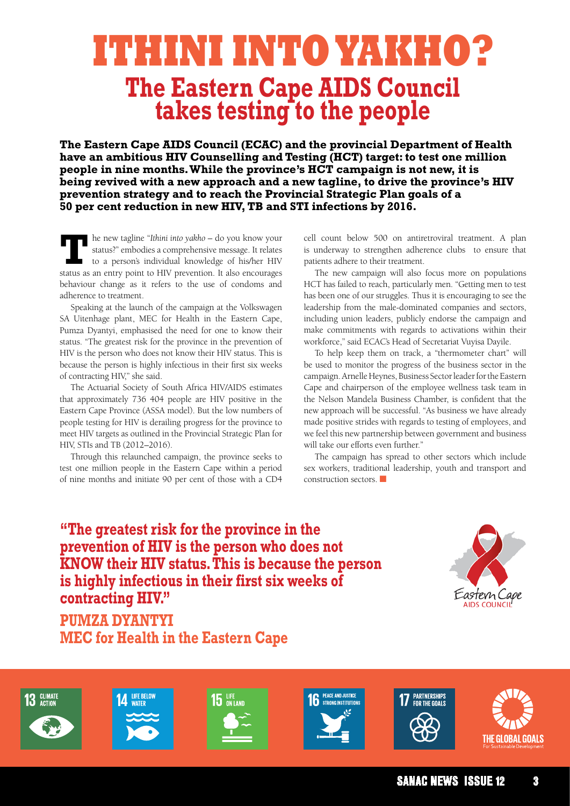## **Ithini into yakho? The Eastern Cape AIDS Council takes testing to the people**

**The Eastern Cape AIDS Council (ECAC) and the provincial Department of Health have an ambitious HIV Counselling and Testing (HCT) target: to test one million people in nine months. While the province's HCT campaign is not new, it is being revived with a new approach and a new tagline, to drive the province's HIV prevention strategy and to reach the Provincial Strategic Plan goals of a 50 per cent reduction in new HIV, TB and STI infections by 2016.** 

**T**he new tagline "*Ithini into yakho* – do you know your status?" embodies a comprehensive message. It relates to a person's individual knowledge of his/her HIV status as an entry point to HIV prevention. It also encourages behaviour change as it refers to the use of condoms and adherence to treatment.

Speaking at the launch of the campaign at the Volkswagen SA Uitenhage plant, MEC for Health in the Eastern Cape, Pumza Dyantyi, emphasised the need for one to know their status. "The greatest risk for the province in the prevention of HIV is the person who does not know their HIV status. This is because the person is highly infectious in their first six weeks of contracting HIV," she said.

The Actuarial Society of South Africa HIV/AIDS estimates that approximately 736 404 people are HIV positive in the Eastern Cape Province (ASSA model). But the low numbers of people testing for HIV is derailing progress for the province to meet HIV targets as outlined in the Provincial Strategic Plan for HIV, STIs and TB (2012–2016).

Through this relaunched campaign, the province seeks to test one million people in the Eastern Cape within a period of nine months and initiate 90 per cent of those with a CD4 cell count below 500 on antiretroviral treatment. A plan is underway to strengthen adherence clubs to ensure that patients adhere to their treatment.

The new campaign will also focus more on populations HCT has failed to reach, particularly men. "Getting men to test has been one of our struggles. Thus it is encouraging to see the leadership from the male-dominated companies and sectors, including union leaders, publicly endorse the campaign and make commitments with regards to activations within their workforce," said ECAC's Head of Secretariat Vuyisa Dayile.

To help keep them on track, a "thermometer chart" will be used to monitor the progress of the business sector in the campaign. Arnelle Heynes, Business Sector leader for the Eastern Cape and chairperson of the employee wellness task team in the Nelson Mandela Business Chamber, is confident that the new approach will be successful. "As business we have already made positive strides with regards to testing of employees, and we feel this new partnership between government and business will take our efforts even further."

The campaign has spread to other sectors which include sex workers, traditional leadership, youth and transport and construction sectors. ■

**"The greatest risk for the province in the prevention of HIV is the person who does not KNOW their HIV status. This is because the person is highly infectious in their first six weeks of contracting HIV."** 



**Pumza Dyantyi MEC for Health in the Eastern Cape**













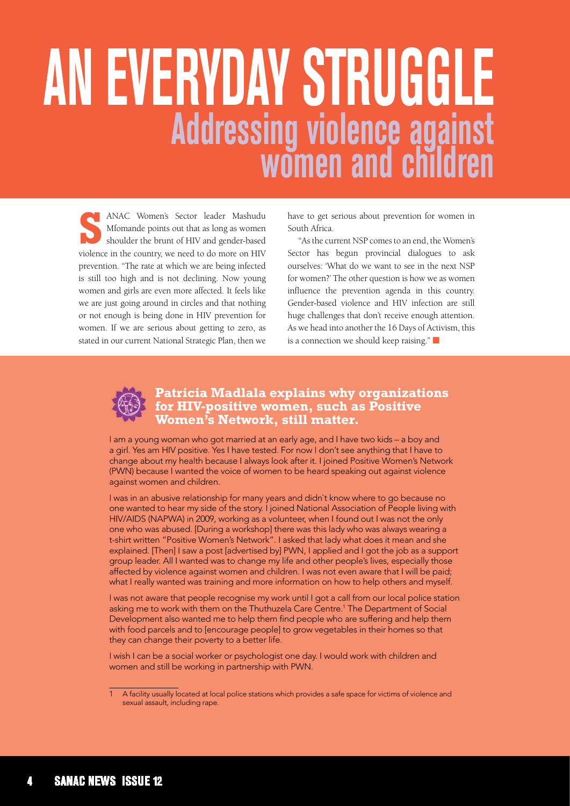# **an everyday struggle Addressing violence against women and children**

**S** ANAC Women's Sector leader Mashudu Mfomande points out that as long as women shoulder the brunt of HIV and gender-based violence in the country, we need to do more on HIV prevention. "The rate at which we are being infected is still too high and is not declining. Now young women and girls are even more affected. It feels like we are just going around in circles and that nothing or not enough is being done in HIV prevention for women. If we are serious about getting to zero, as stated in our current National Strategic Plan, then we

have to get serious about prevention for women in South Africa.

"As the current NSP comes to an end, the Women's Sector has begun provincial dialogues to ask ourselves: 'What do we want to see in the next NSP for women?' The other question is how we as women influence the prevention agenda in this country. Gender-based violence and HIV infection are still huge challenges that don't receive enough attention. As we head into another the 16 Days of Activism, this is a connection we should keep raising."  $\Box$ 



#### **Patricia Madlala explains why organizations for HIV-positive women, such as Positive Women's Network, still matter.**

I am a young woman who got married at an early age, and I have two kids – a boy and a girl. Yes am HIV positive. Yes I have tested. For now I don't see anything that I have to change about my health because I always look after it. I joined Positive Women's Network (PWN) because I wanted the voice of women to be heard speaking out against violence against women and children.

I was in an abusive relationship for many years and didn`t know where to go because no one wanted to hear my side of the story. I joined National Association of People living with HIV/AIDS (NAPWA) in 2009, working as a volunteer, when I found out I was not the only one who was abused. [During a workshop] there was this lady who was always wearing a t-shirt written "Positive Women's Network". I asked that lady what does it mean and she explained. [Then] I saw a post [advertised by] PWN, I applied and I got the job as a support group leader. All I wanted was to change my life and other people's lives, especially those affected by violence against women and children. I was not even aware that I will be paid; what I really wanted was training and more information on how to help others and myself.

I was not aware that people recognise my work until I got a call from our local police station asking me to work with them on the Thuthuzela Care Centre.1 The Department of Social Development also wanted me to help them find people who are suffering and help them with food parcels and to [encourage people] to grow vegetables in their homes so that they can change their poverty to a better life.

I wish I can be a social worker or psychologist one day. I would work with children and women and still be working in partnership with PWN.

<sup>1</sup> A facility usually located at local police stations which provides a safe space for victims of violence and sexual assault, including rape.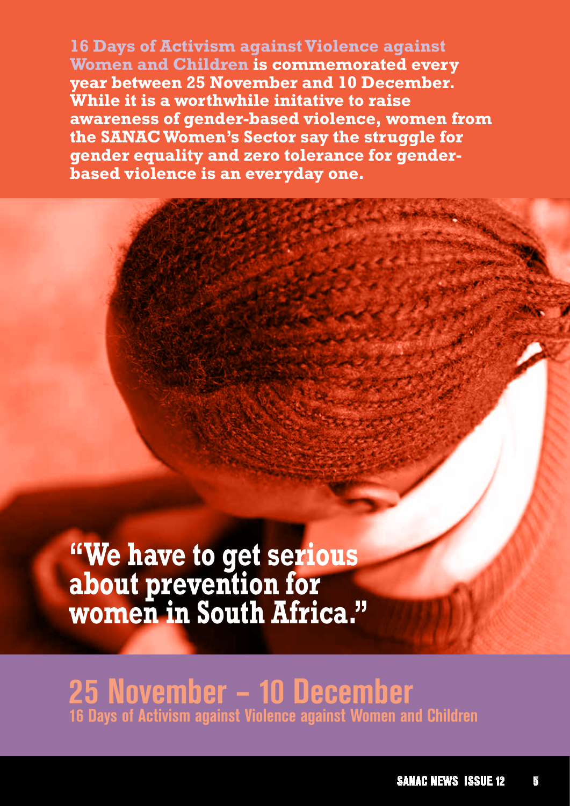**16 Days of Activism against Violence against<br>Women and Children is commemorated ever<br>year between 25 November and 10 December<br>While it is a worthwhile initative to raise Women and Children is commemorated every year between 25 November and 10 December. While it is a worthwhile initative to raise awareness of gender-based violence, women from the SANACWomen's Sector say the struggle for gender equality and zero tolerance for genderbased violence is an everyday one.** 

> **"We have to get serious about prevention for women in South Africa."**

**25 November – 10 December 16 Days of Activism against Violence against Women and Children**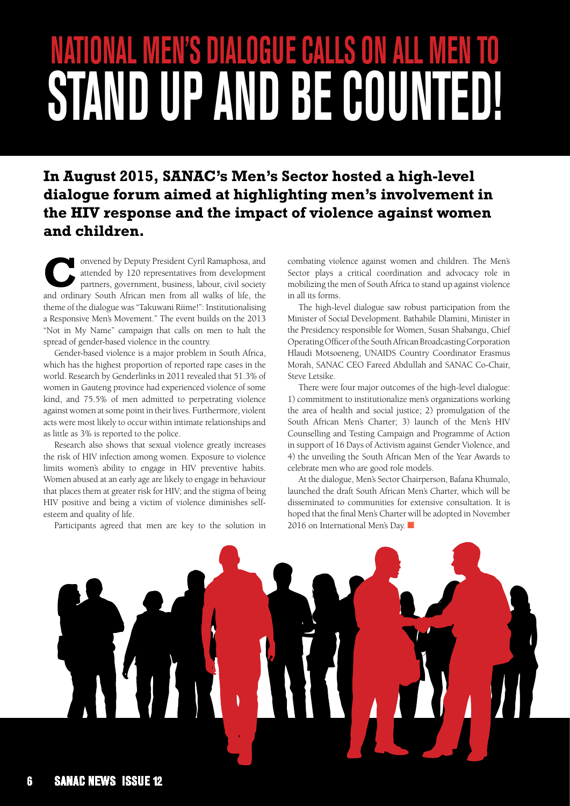## **National Men's Dialogue calls on all men TO STAND UP AND BE COUNTED!**

### **In August 2015, SANAC's Men's Sector hosted a high-level dialogue forum aimed at highlighting men's involvement in the HIV response and the impact of violence against women and children.**

onvened by Deputy President Cyril Ramaphosa, and attended by 120 representatives from development partners, government, business, labour, civil society and ordinary South African men from all walks of life, the theme of the dialogue was "Takuwani Riime!": Institutionalising a Responsive Men's Movement." The event builds on the 2013 "Not in My Name" campaign that calls on men to halt the spread of gender-based violence in the country.

Gender-based violence is a major problem in South Africa, which has the highest proportion of reported rape cases in the world. Research by Genderlinks in 2011 revealed that 51.3% of women in Gauteng province had experienced violence of some kind, and 75.5% of men admitted to perpetrating violence against women at some point in their lives. Furthermore, violent acts were most likely to occur within intimate relationships and as little as 3% is reported to the police.

Research also shows that sexual violence greatly increases the risk of HIV infection among women. Exposure to violence limits women's ability to engage in HIV preventive habits. Women abused at an early age are likely to engage in behaviour that places them at greater risk for HIV; and the stigma of being HIV positive and being a victim of violence diminishes selfesteem and quality of life.

Participants agreed that men are key to the solution in

combating violence against women and children. The Men's Sector plays a critical coordination and advocacy role in mobilizing the men of South Africa to stand up against violence in all its forms.

The high-level dialogue saw robust participation from the Minister of Social Development. Bathabile Dlamini, Minister in the Presidency responsible for Women, Susan Shabangu, Chief Operating Officer of the South African Broadcasting Corporation Hlaudi Motsoeneng, UNAIDS Country Coordinator Erasmus Morah, SANAC CEO Fareed Abdullah and SANAC Co-Chair, Steve Letsike.

There were four major outcomes of the high-level dialogue: 1) commitment to institutionalize men's organizations working the area of health and social justice; 2) promulgation of the South African Men's Charter; 3) launch of the Men's HIV Counselling and Testing Campaign and Programme of Action in support of 16 Days of Activism against Gender Violence, and 4) the unveiling the South African Men of the Year Awards to celebrate men who are good role models.

At the dialogue, Men's Sector Chairperson, Bafana Khumalo, launched the draft South African Men's Charter, which will be disseminated to communities for extensive consultation. It is hoped that the final Men's Charter will be adopted in November 2016 on International Men's Day. ■

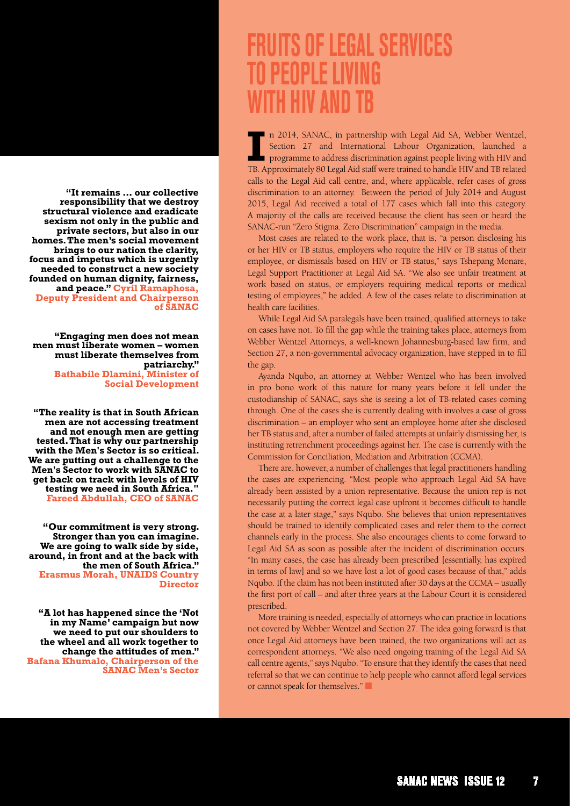**"It remains … our collective responsibility that we destroy structural violence and eradicate sexism not only in the public and private sectors, but also in our homes. The men's social movement brings to our nation the clarity, focus and impetus which is urgently needed to construct a new society founded on human dignity, fairness, and peace." Cyril Ramaphosa, Deputy President and Chairperson of SANAC**

**"Engaging men does not mean men must liberate women – women must liberate themselves from patriarchy." Bathabile Dlamini, Minister of Social Development** 

**"The reality is that in South African men are not accessing treatment and not enough men are getting tested. That is why our partnership with the Men's Sector is so critical. We are putting out a challenge to the Men's Sector to work with SANAC to get back on track with levels of HIV testing we need in South Africa." Fareed Abdullah, CEO of SANAC**

**"Our commitment is very strong. Stronger than you can imagine. We are going to walk side by side, around, in front and at the back with the men of South Africa." Erasmus Morah, UNAIDS Country Director**

**"A lot has happened since the 'Not in my Name' campaign but now we need to put our shoulders to the wheel and all work together to change the attitudes of men." Bafana Khumalo, Chairperson of the SANAC Men's Sector** 

### **FRUITS OF legal services to people living with HIV and TB**

II also not a settion and thermational state of the section 27 and International Labour Organization, launched a programme to address discrimination against people living with HIV and TB. Approximately 80 Legal Aid staff w n 2014, SANAC, in partnership with Legal Aid SA, Webber Wentzel, Section 27 and International Labour Organization, launched a programme to address discrimination against people living with HIV and calls to the Legal Aid call centre, and, where applicable, refer cases of gross discrimination to an attorney. Between the period of July 2014 and August 2015, Legal Aid received a total of 177 cases which fall into this category. A majority of the calls are received because the client has seen or heard the SANAC-run "Zero Stigma. Zero Discrimination" campaign in the media.

Most cases are related to the work place, that is, "a person disclosing his or her HIV or TB status, employers who require the HIV or TB status of their employee, or dismissals based on HIV or TB status," says Tshepang Monare, Legal Support Practitioner at Legal Aid SA. "We also see unfair treatment at work based on status, or employers requiring medical reports or medical testing of employees," he added. A few of the cases relate to discrimination at health care facilities.

While Legal Aid SA paralegals have been trained, qualified attorneys to take on cases have not. To fill the gap while the training takes place, attorneys from Webber Wentzel Attorneys, a well-known Johannesburg-based law firm, and Section 27, a non-governmental advocacy organization, have stepped in to fill the gap.

Ayanda Nqubo, an attorney at Webber Wentzel who has been involved in pro bono work of this nature for many years before it fell under the custodianship of SANAC, says she is seeing a lot of TB-related cases coming through. One of the cases she is currently dealing with involves a case of gross discrimination – an employer who sent an employee home after she disclosed her TB status and, after a number of failed attempts at unfairly dismissing her, is instituting retrenchment proceedings against her. The case is currently with the Commission for Conciliation, Mediation and Arbitration (CCMA).

There are, however, a number of challenges that legal practitioners handling the cases are experiencing. "Most people who approach Legal Aid SA have already been assisted by a union representative. Because the union rep is not necessarily putting the correct legal case upfront it becomes difficult to handle the case at a later stage," says Nqubo. She believes that union representatives should be trained to identify complicated cases and refer them to the correct channels early in the process. She also encourages clients to come forward to Legal Aid SA as soon as possible after the incident of discrimination occurs. "In many cases, the case has already been prescribed [essentially, has expired in terms of law] and so we have lost a lot of good cases because of that," adds Nqubo. If the claim has not been instituted after 30 days at the CCMA – usually the first port of call – and after three years at the Labour Court it is considered prescribed.

More training is needed, especially of attorneys who can practice in locations not covered by Webber Wentzel and Section 27. The idea going forward is that once Legal Aid attorneys have been trained, the two organizations will act as correspondent attorneys. "We also need ongoing training of the Legal Aid SA call centre agents," says Nqubo. "To ensure that they identify the cases that need referral so that we can continue to help people who cannot afford legal services or cannot speak for themselves."